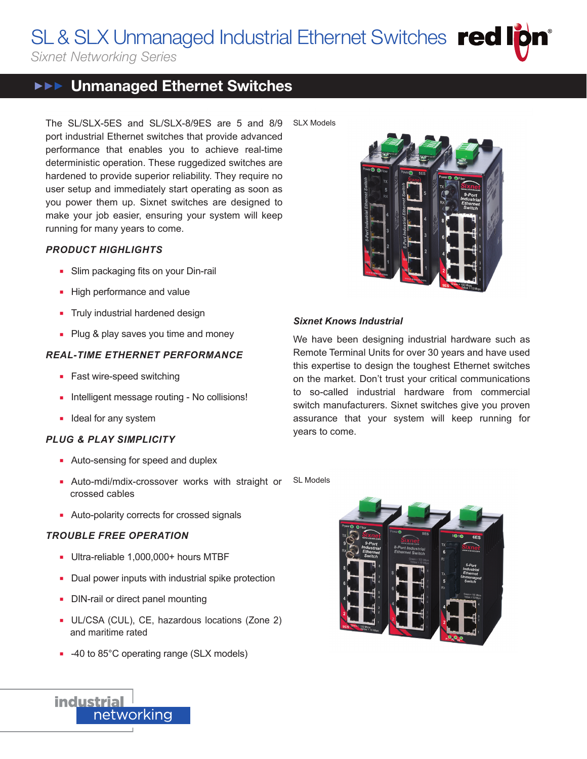SL & SLX Unmanaged Industrial Ethernet Switches Fed Ip S FEOTIP

*Sixnet Networking Series*

# **▶▶ Unmanaged Ethernet Switches**

The SL/SLX-5ES and SL/SLX-8/9ES are 5 and 8/9 port industrial Ethernet switches that provide advanced performance that enables you to achieve real-time deterministic operation. These ruggedized switches are hardened to provide superior reliability. They require no user setup and immediately start operating as soon as you power them up. Sixnet switches are designed to make your job easier, ensuring your system will keep running for many years to come.

## *PRODUCT HIGHLIGHTS*

- Slim packaging fits on your Din-rail
- High performance and value
- **n** Truly industrial hardened design
- Plug & play saves you time and money

## *REAL-TIME ETHERNET PERFORMANCE*

- Fast wire-speed switching
- Intelligent message routing No collisions!
- **n** Ideal for any system

## *PLUG & PLAY SIMPLICITY*

- Auto-sensing for speed and duplex
- **Auto-mdi/mdix-crossover works with straight or** crossed cables
- **Auto-polarity corrects for crossed signals**

# *TROUBLE FREE OPERATION*

- Ultra-reliable 1,000,000+ hours MTBF
- Dual power inputs with industrial spike protection
- DIN-rail or direct panel mounting
- **UL/CSA (CUL), CE, hazardous locations (Zone 2)** and maritime rated
- -40 to 85°C operating range (SLX models)





## *Sixnet Knows Industrial*

We have been designing industrial hardware such as Remote Terminal Units for over 30 years and have used this expertise to design the toughest Ethernet switches on the market. Don't trust your critical communications to so-called industrial hardware from commercial switch manufacturers. Sixnet switches give you proven assurance that your system will keep running for years to come.





**industrial** networking